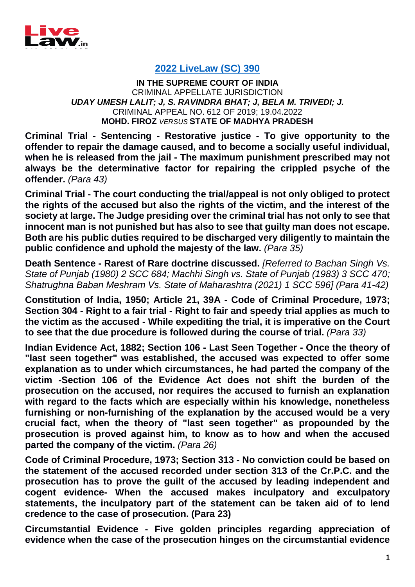

## **[2022 LiveLaw \(SC\) 390](https://www.livelaw.in/top-stories/supreme-court-death-sentence-commutes-rape-murder-mohd-firoz-vs-state-of-madhya-pradesh-2022-livelaw-sc-390-197087)**

**IN THE SUPREME COURT OF INDIA** CRIMINAL APPELLATE JURISDICTION *UDAY UMESH LALIT; J, S. RAVINDRA BHAT; J, BELA M. TRIVEDI; J.* CRIMINAL APPEAL NO. 612 OF 2019; 19.04.2022 **MOHD. FIROZ** *VERSUS* **STATE OF MADHYA PRADESH**

**Criminal Trial - Sentencing - Restorative justice - To give opportunity to the offender to repair the damage caused, and to become a socially useful individual, when he is released from the jail - The maximum punishment prescribed may not always be the determinative factor for repairing the crippled psyche of the offender.** *(Para 43)*

**Criminal Trial - The court conducting the trial/appeal is not only obliged to protect the rights of the accused but also the rights of the victim, and the interest of the society at large. The Judge presiding over the criminal trial has not only to see that innocent man is not punished but has also to see that guilty man does not escape. Both are his public duties required to be discharged very diligently to maintain the public confidence and uphold the majesty of the law.** *(Para 35)*

**Death Sentence - Rarest of Rare doctrine discussed.** *[Referred to Bachan Singh Vs. State of Punjab (1980) 2 SCC 684; Machhi Singh vs. State of Punjab (1983) 3 SCC 470; Shatrughna Baban Meshram Vs. State of Maharashtra (2021) 1 SCC 596] (Para 41-42)*

**Constitution of India, 1950; Article 21, 39A - Code of Criminal Procedure, 1973; Section 304 - Right to a fair trial - Right to fair and speedy trial applies as much to the victim as the accused - While expediting the trial, it is imperative on the Court to see that the due procedure is followed during the course of trial.** *(Para 33)*

**Indian Evidence Act, 1882; Section 106 - Last Seen Together - Once the theory of "last seen together" was established, the accused was expected to offer some explanation as to under which circumstances, he had parted the company of the victim -Section 106 of the Evidence Act does not shift the burden of the prosecution on the accused, nor requires the accused to furnish an explanation with regard to the facts which are especially within his knowledge, nonetheless furnishing or non-furnishing of the explanation by the accused would be a very crucial fact, when the theory of "last seen together" as propounded by the prosecution is proved against him, to know as to how and when the accused parted the company of the victim.** *(Para 26)*

**Code of Criminal Procedure, 1973; Section 313 - No conviction could be based on the statement of the accused recorded under section 313 of the Cr.P.C. and the prosecution has to prove the guilt of the accused by leading independent and cogent evidence- When the accused makes inculpatory and exculpatory statements, the inculpatory part of the statement can be taken aid of to lend credence to the case of prosecution. (Para 23)**

**Circumstantial Evidence - Five golden principles regarding appreciation of evidence when the case of the prosecution hinges on the circumstantial evidence**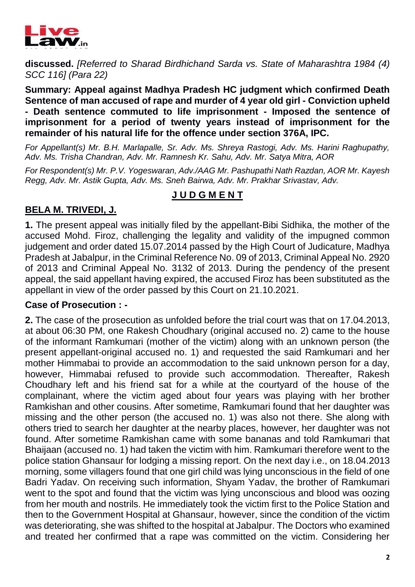

**discussed.** *[Referred to Sharad Birdhichand Sarda vs. State of Maharashtra 1984 (4) SCC 116] (Para 22)*

**Summary: Appeal against Madhya Pradesh HC judgment which confirmed Death Sentence of man accused of rape and murder of 4 year old girl - Conviction upheld - Death sentence commuted to life imprisonment - Imposed the sentence of imprisonment for a period of twenty years instead of imprisonment for the remainder of his natural life for the offence under section 376A, IPC.**

*For Appellant(s) Mr. B.H. Marlapalle, Sr. Adv. Ms. Shreya Rastogi, Adv. Ms. Harini Raghupathy, Adv. Ms. Trisha Chandran, Adv. Mr. Ramnesh Kr. Sahu, Adv. Mr. Satya Mitra, AOR* 

*For Respondent(s) Mr. P.V. Yogeswaran, Adv./AAG Mr. Pashupathi Nath Razdan, AOR Mr. Kayesh Regg, Adv. Mr. Astik Gupta, Adv. Ms. Sneh Bairwa, Adv. Mr. Prakhar Srivastav, Adv.*

# **J U D G M E N T**

# **BELA M. TRIVEDI, J.**

**1.** The present appeal was initially filed by the appellant-Bibi Sidhika, the mother of the accused Mohd. Firoz, challenging the legality and validity of the impugned common judgement and order dated 15.07.2014 passed by the High Court of Judicature, Madhya Pradesh at Jabalpur, in the Criminal Reference No. 09 of 2013, Criminal Appeal No. 2920 of 2013 and Criminal Appeal No. 3132 of 2013. During the pendency of the present appeal, the said appellant having expired, the accused Firoz has been substituted as the appellant in view of the order passed by this Court on 21.10.2021.

## **Case of Prosecution : -**

**2.** The case of the prosecution as unfolded before the trial court was that on 17.04.2013, at about 06:30 PM, one Rakesh Choudhary (original accused no. 2) came to the house of the informant Ramkumari (mother of the victim) along with an unknown person (the present appellant-original accused no. 1) and requested the said Ramkumari and her mother Himmabai to provide an accommodation to the said unknown person for a day, however, Himmabai refused to provide such accommodation. Thereafter, Rakesh Choudhary left and his friend sat for a while at the courtyard of the house of the complainant, where the victim aged about four years was playing with her brother Ramkishan and other cousins. After sometime, Ramkumari found that her daughter was missing and the other person (the accused no. 1) was also not there. She along with others tried to search her daughter at the nearby places, however, her daughter was not found. After sometime Ramkishan came with some bananas and told Ramkumari that Bhaijaan (accused no. 1) had taken the victim with him. Ramkumari therefore went to the police station Ghansaur for lodging a missing report. On the next day i.e., on 18.04.2013 morning, some villagers found that one girl child was lying unconscious in the field of one Badri Yadav. On receiving such information, Shyam Yadav, the brother of Ramkumari went to the spot and found that the victim was lying unconscious and blood was oozing from her mouth and nostrils. He immediately took the victim first to the Police Station and then to the Government Hospital at Ghansaur, however, since the condition of the victim was deteriorating, she was shifted to the hospital at Jabalpur. The Doctors who examined and treated her confirmed that a rape was committed on the victim. Considering her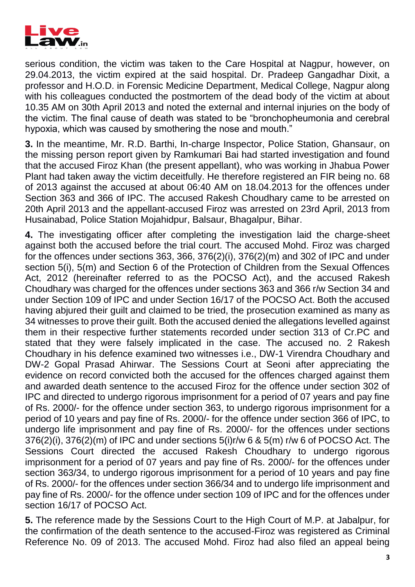

serious condition, the victim was taken to the Care Hospital at Nagpur, however, on 29.04.2013, the victim expired at the said hospital. Dr. Pradeep Gangadhar Dixit, a professor and H.O.D. in Forensic Medicine Department, Medical College, Nagpur along with his colleagues conducted the postmortem of the dead body of the victim at about 10.35 AM on 30th April 2013 and noted the external and internal injuries on the body of the victim. The final cause of death was stated to be "bronchopheumonia and cerebral hypoxia, which was caused by smothering the nose and mouth."

**3.** In the meantime, Mr. R.D. Barthi, In-charge Inspector, Police Station, Ghansaur, on the missing person report given by Ramkumari Bai had started investigation and found that the accused Firoz Khan (the present appellant), who was working in Jhabua Power Plant had taken away the victim deceitfully. He therefore registered an FIR being no. 68 of 2013 against the accused at about 06:40 AM on 18.04.2013 for the offences under Section 363 and 366 of IPC. The accused Rakesh Choudhary came to be arrested on 20th April 2013 and the appellant-accused Firoz was arrested on 23rd April, 2013 from Husainabad, Police Station Mojahidpur, Balsaur, Bhagalpur, Bihar.

**4.** The investigating officer after completing the investigation laid the charge-sheet against both the accused before the trial court. The accused Mohd. Firoz was charged for the offences under sections 363, 366, 376(2)(i), 376(2)(m) and 302 of IPC and under section 5(i), 5(m) and Section 6 of the Protection of Children from the Sexual Offences Act, 2012 (hereinafter referred to as the POCSO Act), and the accused Rakesh Choudhary was charged for the offences under sections 363 and 366 r/w Section 34 and under Section 109 of IPC and under Section 16/17 of the POCSO Act. Both the accused having abjured their guilt and claimed to be tried, the prosecution examined as many as 34 witnesses to prove their guilt. Both the accused denied the allegations levelled against them in their respective further statements recorded under section 313 of Cr.PC and stated that they were falsely implicated in the case. The accused no. 2 Rakesh Choudhary in his defence examined two witnesses i.e., DW-1 Virendra Choudhary and DW-2 Gopal Prasad Ahirwar. The Sessions Court at Seoni after appreciating the evidence on record convicted both the accused for the offences charged against them and awarded death sentence to the accused Firoz for the offence under section 302 of IPC and directed to undergo rigorous imprisonment for a period of 07 years and pay fine of Rs. 2000/- for the offence under section 363, to undergo rigorous imprisonment for a period of 10 years and pay fine of Rs. 2000/- for the offence under section 366 of IPC, to undergo life imprisonment and pay fine of Rs. 2000/- for the offences under sections 376(2)(i), 376(2)(m) of IPC and under sections 5(i)r/w 6 & 5(m) r/w 6 of POCSO Act. The Sessions Court directed the accused Rakesh Choudhary to undergo rigorous imprisonment for a period of 07 years and pay fine of Rs. 2000/- for the offences under section 363/34, to undergo rigorous imprisonment for a period of 10 years and pay fine of Rs. 2000/- for the offences under section 366/34 and to undergo life imprisonment and pay fine of Rs. 2000/- for the offence under section 109 of IPC and for the offences under section 16/17 of POCSO Act.

**5.** The reference made by the Sessions Court to the High Court of M.P. at Jabalpur, for the confirmation of the death sentence to the accused-Firoz was registered as Criminal Reference No. 09 of 2013. The accused Mohd. Firoz had also filed an appeal being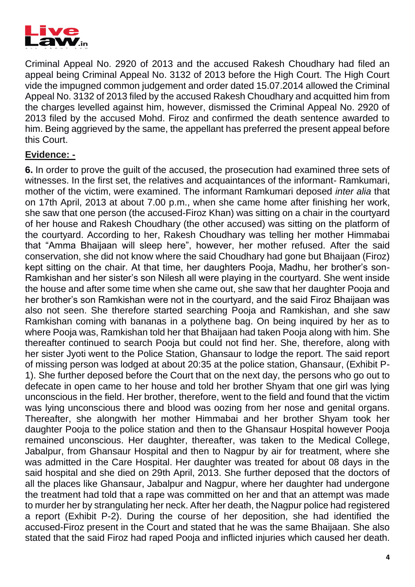

Criminal Appeal No. 2920 of 2013 and the accused Rakesh Choudhary had filed an appeal being Criminal Appeal No. 3132 of 2013 before the High Court. The High Court vide the impugned common judgement and order dated 15.07.2014 allowed the Criminal Appeal No. 3132 of 2013 filed by the accused Rakesh Choudhary and acquitted him from the charges levelled against him, however, dismissed the Criminal Appeal No. 2920 of 2013 filed by the accused Mohd. Firoz and confirmed the death sentence awarded to him. Being aggrieved by the same, the appellant has preferred the present appeal before this Court.

#### **Evidence: -**

**6.** In order to prove the guilt of the accused, the prosecution had examined three sets of witnesses. In the first set, the relatives and acquaintances of the informant- Ramkumari, mother of the victim, were examined. The informant Ramkumari deposed *inter alia* that on 17th April, 2013 at about 7.00 p.m., when she came home after finishing her work, she saw that one person (the accused-Firoz Khan) was sitting on a chair in the courtyard of her house and Rakesh Choudhary (the other accused) was sitting on the platform of the courtyard. According to her, Rakesh Choudhary was telling her mother Himmabai that "Amma Bhaijaan will sleep here", however, her mother refused. After the said conservation, she did not know where the said Choudhary had gone but Bhaijaan (Firoz) kept sitting on the chair. At that time, her daughters Pooja, Madhu, her brother's son-Ramkishan and her sister's son Nilesh all were playing in the courtyard. She went inside the house and after some time when she came out, she saw that her daughter Pooja and her brother's son Ramkishan were not in the courtyard, and the said Firoz Bhaijaan was also not seen. She therefore started searching Pooja and Ramkishan, and she saw Ramkishan coming with bananas in a polythene bag. On being inquired by her as to where Pooja was, Ramkishan told her that Bhaijaan had taken Pooja along with him. She thereafter continued to search Pooja but could not find her. She, therefore, along with her sister Jyoti went to the Police Station, Ghansaur to lodge the report. The said report of missing person was lodged at about 20:35 at the police station, Ghansaur, (Exhibit P-1). She further deposed before the Court that on the next day, the persons who go out to defecate in open came to her house and told her brother Shyam that one girl was lying unconscious in the field. Her brother, therefore, went to the field and found that the victim was lying unconscious there and blood was oozing from her nose and genital organs. Thereafter, she alongwith her mother Himmabai and her brother Shyam took her daughter Pooja to the police station and then to the Ghansaur Hospital however Pooja remained unconscious. Her daughter, thereafter, was taken to the Medical College, Jabalpur, from Ghansaur Hospital and then to Nagpur by air for treatment, where she was admitted in the Care Hospital. Her daughter was treated for about 08 days in the said hospital and she died on 29th April, 2013. She further deposed that the doctors of all the places like Ghansaur, Jabalpur and Nagpur, where her daughter had undergone the treatment had told that a rape was committed on her and that an attempt was made to murder her by strangulating her neck. After her death, the Nagpur police had registered a report (Exhibit P-2). During the course of her deposition, she had identified the accused-Firoz present in the Court and stated that he was the same Bhaijaan. She also stated that the said Firoz had raped Pooja and inflicted injuries which caused her death.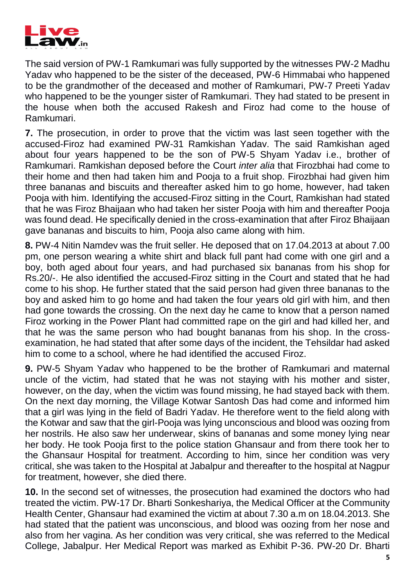

The said version of PW-1 Ramkumari was fully supported by the witnesses PW-2 Madhu Yadav who happened to be the sister of the deceased, PW-6 Himmabai who happened to be the grandmother of the deceased and mother of Ramkumari, PW-7 Preeti Yadav who happened to be the younger sister of Ramkumari. They had stated to be present in the house when both the accused Rakesh and Firoz had come to the house of Ramkumari.

**7.** The prosecution, in order to prove that the victim was last seen together with the accused-Firoz had examined PW-31 Ramkishan Yadav. The said Ramkishan aged about four years happened to be the son of PW-5 Shyam Yadav i.e., brother of Ramkumari. Ramkishan deposed before the Court *inter alia* that Firozbhai had come to their home and then had taken him and Pooja to a fruit shop. Firozbhai had given him three bananas and biscuits and thereafter asked him to go home, however, had taken Pooja with him. Identifying the accused-Firoz sitting in the Court, Ramkishan had stated that he was Firoz Bhaijaan who had taken her sister Pooja with him and thereafter Pooja was found dead. He specifically denied in the cross-examination that after Firoz Bhaijaan gave bananas and biscuits to him, Pooja also came along with him.

**8.** PW-4 Nitin Namdev was the fruit seller. He deposed that on 17.04.2013 at about 7.00 pm, one person wearing a white shirt and black full pant had come with one girl and a boy, both aged about four years, and had purchased six bananas from his shop for Rs.20/-. He also identified the accused-Firoz sitting in the Court and stated that he had come to his shop. He further stated that the said person had given three bananas to the boy and asked him to go home and had taken the four years old girl with him, and then had gone towards the crossing. On the next day he came to know that a person named Firoz working in the Power Plant had committed rape on the girl and had killed her, and that he was the same person who had bought bananas from his shop. In the crossexamination, he had stated that after some days of the incident, the Tehsildar had asked him to come to a school, where he had identified the accused Firoz.

**9.** PW-5 Shyam Yadav who happened to be the brother of Ramkumari and maternal uncle of the victim, had stated that he was not staying with his mother and sister, however, on the day, when the victim was found missing, he had stayed back with them. On the next day morning, the Village Kotwar Santosh Das had come and informed him that a girl was lying in the field of Badri Yadav. He therefore went to the field along with the Kotwar and saw that the girl-Pooja was lying unconscious and blood was oozing from her nostrils. He also saw her underwear, skins of bananas and some money lying near her body. He took Pooja first to the police station Ghansaur and from there took her to the Ghansaur Hospital for treatment. According to him, since her condition was very critical, she was taken to the Hospital at Jabalpur and thereafter to the hospital at Nagpur for treatment, however, she died there.

**10.** In the second set of witnesses, the prosecution had examined the doctors who had treated the victim. PW-17 Dr. Bharti Sonkeshariya, the Medical Officer at the Community Health Center, Ghansaur had examined the victim at about 7.30 a.m on 18.04.2013. She had stated that the patient was unconscious, and blood was oozing from her nose and also from her vagina. As her condition was very critical, she was referred to the Medical College, Jabalpur. Her Medical Report was marked as Exhibit P-36. PW-20 Dr. Bharti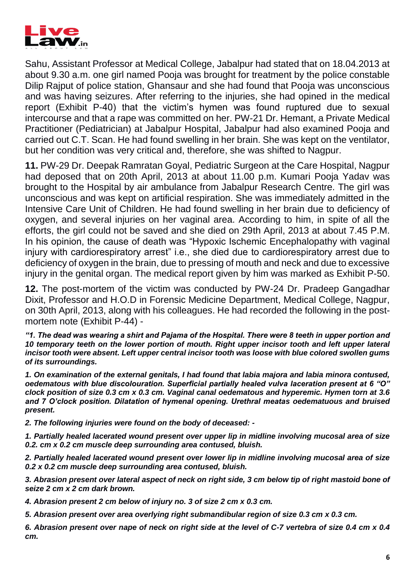

Sahu, Assistant Professor at Medical College, Jabalpur had stated that on 18.04.2013 at about 9.30 a.m. one girl named Pooja was brought for treatment by the police constable Dilip Rajput of police station, Ghansaur and she had found that Pooja was unconscious and was having seizures. After referring to the injuries, she had opined in the medical report (Exhibit P-40) that the victim's hymen was found ruptured due to sexual intercourse and that a rape was committed on her. PW-21 Dr. Hemant, a Private Medical Practitioner (Pediatrician) at Jabalpur Hospital, Jabalpur had also examined Pooja and carried out C.T. Scan. He had found swelling in her brain. She was kept on the ventilator, but her condition was very critical and, therefore, she was shifted to Nagpur.

**11.** PW-29 Dr. Deepak Ramratan Goyal, Pediatric Surgeon at the Care Hospital, Nagpur had deposed that on 20th April, 2013 at about 11.00 p.m. Kumari Pooja Yadav was brought to the Hospital by air ambulance from Jabalpur Research Centre. The girl was unconscious and was kept on artificial respiration. She was immediately admitted in the Intensive Care Unit of Children. He had found swelling in her brain due to deficiency of oxygen, and several injuries on her vaginal area. According to him, in spite of all the efforts, the girl could not be saved and she died on 29th April, 2013 at about 7.45 P.M. In his opinion, the cause of death was "Hypoxic Ischemic Encephalopathy with vaginal injury with cardiorespiratory arrest" i.e., she died due to cardiorespiratory arrest due to deficiency of oxygen in the brain, due to pressing of mouth and neck and due to excessive injury in the genital organ. The medical report given by him was marked as Exhibit P-50.

**12.** The post-mortem of the victim was conducted by PW-24 Dr. Pradeep Gangadhar Dixit, Professor and H.O.D in Forensic Medicine Department, Medical College, Nagpur, on 30th April, 2013, along with his colleagues. He had recorded the following in the postmortem note (Exhibit P-44) -

*"1. The dead was wearing a shirt and Pajama of the Hospital. There were 8 teeth in upper portion and 10 temporary teeth on the lower portion of mouth. Right upper incisor tooth and left upper lateral incisor tooth were absent. Left upper central incisor tooth was loose with blue colored swollen gums of its surroundings.* 

*1. On examination of the external genitals, I had found that labia majora and labia minora contused, oedematous with blue discolouration. Superficial partially healed vulva laceration present at 6 "O" clock position of size 0.3 cm x 0.3 cm. Vaginal canal oedematous and hyperemic. Hymen torn at 3.6 and 7 O'clock position. Dilatation of hymenal opening. Urethral meatas oedematuous and bruised present.* 

*2. The following injuries were found on the body of deceased: -*

*1. Partially healed lacerated wound present over upper lip in midline involving mucosal area of size 0.2. cm x 0.2 cm muscle deep surrounding area contused, bluish.* 

*2. Partially healed lacerated wound present over lower lip in midline involving mucosal area of size 0.2 x 0.2 cm muscle deep surrounding area contused, bluish.* 

*3. Abrasion present over lateral aspect of neck on right side, 3 cm below tip of right mastoid bone of seize 2 cm x 2 cm dark brown.* 

*4. Abrasion present 2 cm below of injury no. 3 of size 2 cm x 0.3 cm.* 

*5. Abrasion present over area overlying right submandibular region of size 0.3 cm x 0.3 cm.* 

*6. Abrasion present over nape of neck on right side at the level of C-7 vertebra of size 0.4 cm x 0.4 cm.*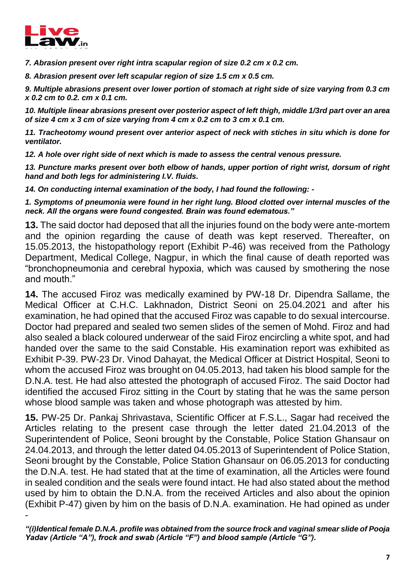

*7. Abrasion present over right intra scapular region of size 0.2 cm x 0.2 cm.* 

*8. Abrasion present over left scapular region of size 1.5 cm x 0.5 cm.* 

*9. Multiple abrasions present over lower portion of stomach at right side of size varying from 0.3 cm x 0.2 cm to 0.2. cm x 0.1 cm.* 

*10. Multiple linear abrasions present over posterior aspect of left thigh, middle 1/3rd part over an area of size 4 cm x 3 cm of size varying from 4 cm x 0.2 cm to 3 cm x 0.1 cm.* 

*11. Tracheotomy wound present over anterior aspect of neck with stiches in situ which is done for ventilator.* 

*12. A hole over right side of next which is made to assess the central venous pressure.* 

*13. Puncture marks present over both elbow of hands, upper portion of right wrist, dorsum of right hand and both legs for administering I.V. fluids.* 

*14. On conducting internal examination of the body, I had found the following: -*

*1. Symptoms of pneumonia were found in her right lung. Blood clotted over internal muscles of the neck. All the organs were found congested. Brain was found edematous."* 

**13.** The said doctor had deposed that all the injuries found on the body were ante-mortem and the opinion regarding the cause of death was kept reserved. Thereafter, on 15.05.2013, the histopathology report (Exhibit P-46) was received from the Pathology Department, Medical College, Nagpur, in which the final cause of death reported was "bronchopneumonia and cerebral hypoxia, which was caused by smothering the nose and mouth."

**14.** The accused Firoz was medically examined by PW-18 Dr. Dipendra Sallame, the Medical Officer at C.H.C. Lakhnadon, District Seoni on 25.04.2021 and after his examination, he had opined that the accused Firoz was capable to do sexual intercourse. Doctor had prepared and sealed two semen slides of the semen of Mohd. Firoz and had also sealed a black coloured underwear of the said Firoz encircling a white spot, and had handed over the same to the said Constable. His examination report was exhibited as Exhibit P-39. PW-23 Dr. Vinod Dahayat, the Medical Officer at District Hospital, Seoni to whom the accused Firoz was brought on 04.05.2013, had taken his blood sample for the D.N.A. test. He had also attested the photograph of accused Firoz. The said Doctor had identified the accused Firoz sitting in the Court by stating that he was the same person whose blood sample was taken and whose photograph was attested by him.

**15.** PW-25 Dr. Pankaj Shrivastava, Scientific Officer at F.S.L., Sagar had received the Articles relating to the present case through the letter dated 21.04.2013 of the Superintendent of Police, Seoni brought by the Constable, Police Station Ghansaur on 24.04.2013, and through the letter dated 04.05.2013 of Superintendent of Police Station, Seoni brought by the Constable, Police Station Ghansaur on 06.05.2013 for conducting the D.N.A. test. He had stated that at the time of examination, all the Articles were found in sealed condition and the seals were found intact. He had also stated about the method used by him to obtain the D.N.A. from the received Articles and also about the opinion (Exhibit P-47) given by him on the basis of D.N.A. examination. He had opined as under -

*"(i)Identical female D.N.A. profile was obtained from the source frock and vaginal smear slide of Pooja Yadav (Article "A"), frock and swab (Article "F") and blood sample (Article "G").*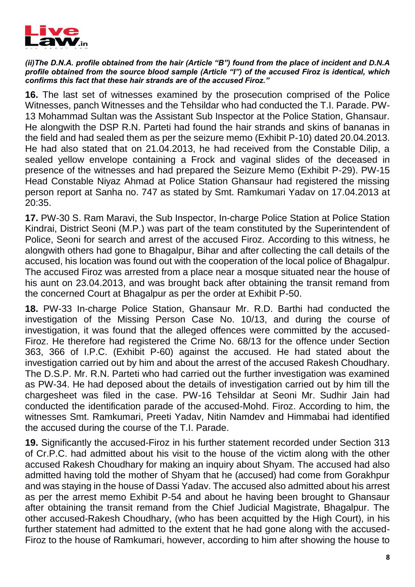

#### *(ii)The D.N.A. profile obtained from the hair (Article "B") found from the place of incident and D.N.A profile obtained from the source blood sample (Article "I") of the accused Firoz is identical, which confirms this fact that these hair strands are of the accused Firoz."*

**16.** The last set of witnesses examined by the prosecution comprised of the Police Witnesses, panch Witnesses and the Tehsildar who had conducted the T.I. Parade. PW-13 Mohammad Sultan was the Assistant Sub Inspector at the Police Station, Ghansaur. He alongwith the DSP R.N. Parteti had found the hair strands and skins of bananas in the field and had sealed them as per the seizure memo (Exhibit P-10) dated 20.04.2013. He had also stated that on 21.04.2013, he had received from the Constable Dilip, a sealed yellow envelope containing a Frock and vaginal slides of the deceased in presence of the witnesses and had prepared the Seizure Memo (Exhibit P-29). PW-15 Head Constable Niyaz Ahmad at Police Station Ghansaur had registered the missing person report at Sanha no. 747 as stated by Smt. Ramkumari Yadav on 17.04.2013 at 20:35.

**17.** PW-30 S. Ram Maravi, the Sub Inspector, In-charge Police Station at Police Station Kindrai, District Seoni (M.P.) was part of the team constituted by the Superintendent of Police, Seoni for search and arrest of the accused Firoz. According to this witness, he alongwith others had gone to Bhagalpur, Bihar and after collecting the call details of the accused, his location was found out with the cooperation of the local police of Bhagalpur. The accused Firoz was arrested from a place near a mosque situated near the house of his aunt on 23.04.2013, and was brought back after obtaining the transit remand from the concerned Court at Bhagalpur as per the order at Exhibit P-50.

**18.** PW-33 In-charge Police Station, Ghansaur Mr. R.D. Barthi had conducted the investigation of the Missing Person Case No. 10/13, and during the course of investigation, it was found that the alleged offences were committed by the accused-Firoz. He therefore had registered the Crime No. 68/13 for the offence under Section 363, 366 of I.P.C. (Exhibit P-60) against the accused. He had stated about the investigation carried out by him and about the arrest of the accused Rakesh Choudhary. The D.S.P. Mr. R.N. Parteti who had carried out the further investigation was examined as PW-34. He had deposed about the details of investigation carried out by him till the chargesheet was filed in the case. PW-16 Tehsildar at Seoni Mr. Sudhir Jain had conducted the identification parade of the accused-Mohd. Firoz. According to him, the witnesses Smt. Ramkumari, Preeti Yadav, Nitin Namdev and Himmabai had identified the accused during the course of the T.I. Parade.

**19.** Significantly the accused-Firoz in his further statement recorded under Section 313 of Cr.P.C. had admitted about his visit to the house of the victim along with the other accused Rakesh Choudhary for making an inquiry about Shyam. The accused had also admitted having told the mother of Shyam that he (accused) had come from Gorakhpur and was staying in the house of Dassi Yadav. The accused also admitted about his arrest as per the arrest memo Exhibit P-54 and about he having been brought to Ghansaur after obtaining the transit remand from the Chief Judicial Magistrate, Bhagalpur. The other accused-Rakesh Choudhary, (who has been acquitted by the High Court), in his further statement had admitted to the extent that he had gone along with the accused-Firoz to the house of Ramkumari, however, according to him after showing the house to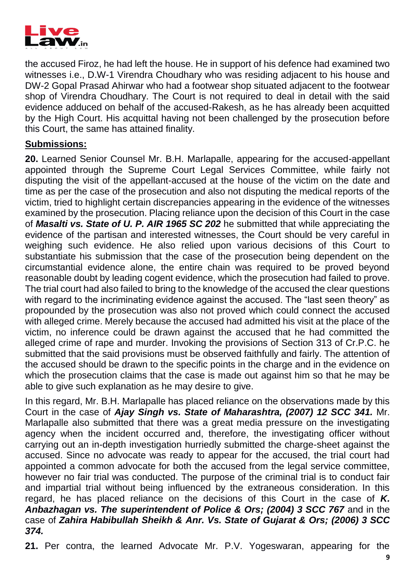

the accused Firoz, he had left the house. He in support of his defence had examined two witnesses i.e., D.W-1 Virendra Choudhary who was residing adjacent to his house and DW-2 Gopal Prasad Ahirwar who had a footwear shop situated adjacent to the footwear shop of Virendra Choudhary. The Court is not required to deal in detail with the said evidence adduced on behalf of the accused-Rakesh, as he has already been acquitted by the High Court. His acquittal having not been challenged by the prosecution before this Court, the same has attained finality.

#### **Submissions:**

**20.** Learned Senior Counsel Mr. B.H. Marlapalle, appearing for the accused-appellant appointed through the Supreme Court Legal Services Committee, while fairly not disputing the visit of the appellant-accused at the house of the victim on the date and time as per the case of the prosecution and also not disputing the medical reports of the victim, tried to highlight certain discrepancies appearing in the evidence of the witnesses examined by the prosecution. Placing reliance upon the decision of this Court in the case of *Masalti vs. State of U. P. AIR 1965 SC 202* he submitted that while appreciating the evidence of the partisan and interested witnesses, the Court should be very careful in weighing such evidence. He also relied upon various decisions of this Court to substantiate his submission that the case of the prosecution being dependent on the circumstantial evidence alone, the entire chain was required to be proved beyond reasonable doubt by leading cogent evidence, which the prosecution had failed to prove. The trial court had also failed to bring to the knowledge of the accused the clear questions with regard to the incriminating evidence against the accused. The "last seen theory" as propounded by the prosecution was also not proved which could connect the accused with alleged crime. Merely because the accused had admitted his visit at the place of the victim, no inference could be drawn against the accused that he had committed the alleged crime of rape and murder. Invoking the provisions of Section 313 of Cr.P.C. he submitted that the said provisions must be observed faithfully and fairly. The attention of the accused should be drawn to the specific points in the charge and in the evidence on which the prosecution claims that the case is made out against him so that he may be able to give such explanation as he may desire to give.

In this regard, Mr. B.H. Marlapalle has placed reliance on the observations made by this Court in the case of *Ajay Singh vs. State of Maharashtra, (2007) 12 SCC 341.* Mr. Marlapalle also submitted that there was a great media pressure on the investigating agency when the incident occurred and, therefore, the investigating officer without carrying out an in-depth investigation hurriedly submitted the charge-sheet against the accused. Since no advocate was ready to appear for the accused, the trial court had appointed a common advocate for both the accused from the legal service committee, however no fair trial was conducted. The purpose of the criminal trial is to conduct fair and impartial trial without being influenced by the extraneous consideration. In this regard, he has placed reliance on the decisions of this Court in the case of *K. Anbazhagan vs. The superintendent of Police & Ors; (2004) 3 SCC 767* and in the case of *Zahira Habibullah Sheikh & Anr. Vs. State of Gujarat & Ors; (2006) 3 SCC 374.*

**21.** Per contra, the learned Advocate Mr. P.V. Yogeswaran, appearing for the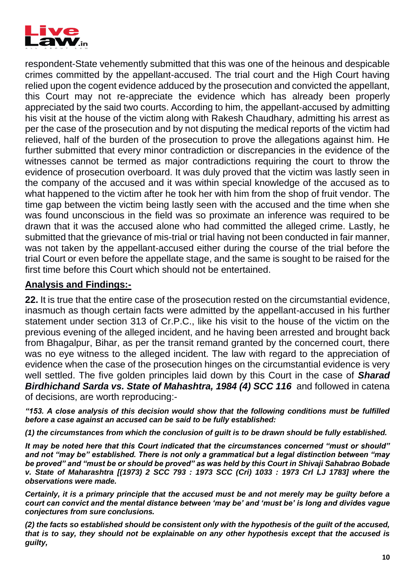

respondent-State vehemently submitted that this was one of the heinous and despicable crimes committed by the appellant-accused. The trial court and the High Court having relied upon the cogent evidence adduced by the prosecution and convicted the appellant, this Court may not re-appreciate the evidence which has already been properly appreciated by the said two courts. According to him, the appellant-accused by admitting his visit at the house of the victim along with Rakesh Chaudhary, admitting his arrest as per the case of the prosecution and by not disputing the medical reports of the victim had relieved, half of the burden of the prosecution to prove the allegations against him. He further submitted that every minor contradiction or discrepancies in the evidence of the witnesses cannot be termed as major contradictions requiring the court to throw the evidence of prosecution overboard. It was duly proved that the victim was lastly seen in the company of the accused and it was within special knowledge of the accused as to what happened to the victim after he took her with him from the shop of fruit vendor. The time gap between the victim being lastly seen with the accused and the time when she was found unconscious in the field was so proximate an inference was required to be drawn that it was the accused alone who had committed the alleged crime. Lastly, he submitted that the grievance of mis-trial or trial having not been conducted in fair manner, was not taken by the appellant-accused either during the course of the trial before the trial Court or even before the appellate stage, and the same is sought to be raised for the first time before this Court which should not be entertained.

## **Analysis and Findings:-**

**22.** It is true that the entire case of the prosecution rested on the circumstantial evidence, inasmuch as though certain facts were admitted by the appellant-accused in his further statement under section 313 of Cr.P.C., like his visit to the house of the victim on the previous evening of the alleged incident, and he having been arrested and brought back from Bhagalpur, Bihar, as per the transit remand granted by the concerned court, there was no eye witness to the alleged incident. The law with regard to the appreciation of evidence when the case of the prosecution hinges on the circumstantial evidence is very well settled. The five golden principles laid down by this Court in the case of *Sharad*  **Birdhichand Sarda vs. State of Mahashtra, 1984 (4) SCC 116** and followed in catena of decisions, are worth reproducing:-

*"153. A close analysis of this decision would show that the following conditions must be fulfilled before a case against an accused can be said to be fully established:* 

*(1) the circumstances from which the conclusion of guilt is to be drawn should be fully established.* 

*It may be noted here that this Court indicated that the circumstances concerned "must or should" and not "may be" established. There is not only a grammatical but a legal distinction between "may be proved" and "must be or should be proved" as was held by this Court in Shivaji Sahabrao Bobade v. State of Maharashtra [(1973) 2 SCC 793 : 1973 SCC (Cri) 1033 : 1973 Crl LJ 1783] where the observations were made.* 

*Certainly, it is a primary principle that the accused must be and not merely may be guilty before a court can convict and the mental distance between 'may be' and 'must be' is long and divides vague conjectures from sure conclusions.* 

*(2) the facts so established should be consistent only with the hypothesis of the guilt of the accused, that is to say, they should not be explainable on any other hypothesis except that the accused is guilty,*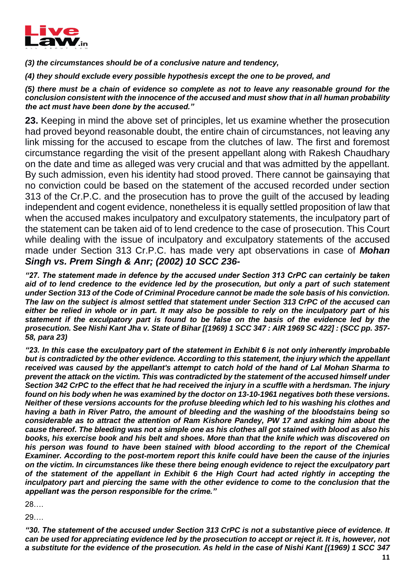

*(3) the circumstances should be of a conclusive nature and tendency,*

*(4) they should exclude every possible hypothesis except the one to be proved, and* 

*(5) there must be a chain of evidence so complete as not to leave any reasonable ground for the conclusion consistent with the innocence of the accused and must show that in all human probability the act must have been done by the accused."* 

**23.** Keeping in mind the above set of principles, let us examine whether the prosecution had proved beyond reasonable doubt, the entire chain of circumstances, not leaving any link missing for the accused to escape from the clutches of law. The first and foremost circumstance regarding the visit of the present appellant along with Rakesh Chaudhary on the date and time as alleged was very crucial and that was admitted by the appellant. By such admission, even his identity had stood proved. There cannot be gainsaying that no conviction could be based on the statement of the accused recorded under section 313 of the Cr.P.C. and the prosecution has to prove the guilt of the accused by leading independent and cogent evidence, nonetheless it is equally settled proposition of law that when the accused makes inculpatory and exculpatory statements, the inculpatory part of the statement can be taken aid of to lend credence to the case of prosecution. This Court while dealing with the issue of inculpatory and exculpatory statements of the accused made under Section 313 Cr.P.C. has made very apt observations in case of *Mohan Singh vs. Prem Singh & Anr; (2002) 10 SCC 236-*

*"27. The statement made in defence by the accused under Section 313 CrPC can certainly be taken aid of to lend credence to the evidence led by the prosecution, but only a part of such statement under Section 313 of the Code of Criminal Procedure cannot be made the sole basis of his conviction. The law on the subject is almost settled that statement under Section 313 CrPC of the accused can either be relied in whole or in part. It may also be possible to rely on the inculpatory part of his statement if the exculpatory part is found to be false on the basis of the evidence led by the prosecution. See Nishi Kant Jha v. State of Bihar [(1969) 1 SCC 347 : AIR 1969 SC 422] : (SCC pp. 357- 58, para 23)* 

*"23. In this case the exculpatory part of the statement in Exhibit 6 is not only inherently improbable but is contradicted by the other evidence. According to this statement, the injury which the appellant received was caused by the appellant's attempt to catch hold of the hand of Lal Mohan Sharma to prevent the attack on the victim. This was contradicted by the statement of the accused himself under Section 342 CrPC to the effect that he had received the injury in a scuffle with a herdsman. The injury found on his body when he was examined by the doctor on 13-10-1961 negatives both these versions. Neither of these versions accounts for the profuse bleeding which led to his washing his clothes and having a bath in River Patro, the amount of bleeding and the washing of the bloodstains being so considerable as to attract the attention of Ram Kishore Pandey, PW 17 and asking him about the cause thereof. The bleeding was not a simple one as his clothes all got stained with blood as also his books, his exercise book and his belt and shoes. More than that the knife which was discovered on his person was found to have been stained with blood according to the report of the Chemical Examiner. According to the post-mortem report this knife could have been the cause of the injuries on the victim. In circumstances like these there being enough evidence to reject the exculpatory part of the statement of the appellant in Exhibit 6 the High Court had acted rightly in accepting the inculpatory part and piercing the same with the other evidence to come to the conclusion that the appellant was the person responsible for the crime."* 

28….

29….

*"30. The statement of the accused under Section 313 CrPC is not a substantive piece of evidence. It can be used for appreciating evidence led by the prosecution to accept or reject it. It is, however, not a substitute for the evidence of the prosecution. As held in the case of Nishi Kant [(1969) 1 SCC 347*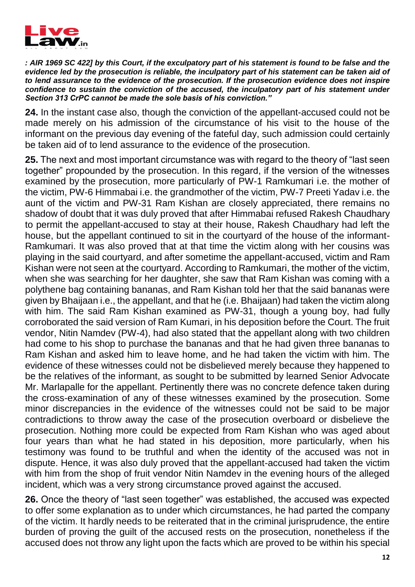

*: AIR 1969 SC 422] by this Court, if the exculpatory part of his statement is found to be false and the evidence led by the prosecution is reliable, the inculpatory part of his statement can be taken aid of to lend assurance to the evidence of the prosecution. If the prosecution evidence does not inspire confidence to sustain the conviction of the accused, the inculpatory part of his statement under Section 313 CrPC cannot be made the sole basis of his conviction."* 

**24.** In the instant case also, though the conviction of the appellant-accused could not be made merely on his admission of the circumstance of his visit to the house of the informant on the previous day evening of the fateful day, such admission could certainly be taken aid of to lend assurance to the evidence of the prosecution.

**25.** The next and most important circumstance was with regard to the theory of "last seen together" propounded by the prosecution. In this regard, if the version of the witnesses examined by the prosecution, more particularly of PW-1 Ramkumari i.e. the mother of the victim, PW-6 Himmabai i.e. the grandmother of the victim, PW-7 Preeti Yadav i.e. the aunt of the victim and PW-31 Ram Kishan are closely appreciated, there remains no shadow of doubt that it was duly proved that after Himmabai refused Rakesh Chaudhary to permit the appellant-accused to stay at their house, Rakesh Chaudhary had left the house, but the appellant continued to sit in the courtyard of the house of the informant-Ramkumari. It was also proved that at that time the victim along with her cousins was playing in the said courtyard, and after sometime the appellant-accused, victim and Ram Kishan were not seen at the courtyard. According to Ramkumari, the mother of the victim, when she was searching for her daughter, she saw that Ram Kishan was coming with a polythene bag containing bananas, and Ram Kishan told her that the said bananas were given by Bhaijaan i.e., the appellant, and that he (i.e. Bhaijaan) had taken the victim along with him. The said Ram Kishan examined as PW-31, though a young boy, had fully corroborated the said version of Ram Kumari, in his deposition before the Court. The fruit vendor, Nitin Namdev (PW-4), had also stated that the appellant along with two children had come to his shop to purchase the bananas and that he had given three bananas to Ram Kishan and asked him to leave home, and he had taken the victim with him. The evidence of these witnesses could not be disbelieved merely because they happened to be the relatives of the informant, as sought to be submitted by learned Senior Advocate Mr. Marlapalle for the appellant. Pertinently there was no concrete defence taken during the cross-examination of any of these witnesses examined by the prosecution. Some minor discrepancies in the evidence of the witnesses could not be said to be major contradictions to throw away the case of the prosecution overboard or disbelieve the prosecution. Nothing more could be expected from Ram Kishan who was aged about four years than what he had stated in his deposition, more particularly, when his testimony was found to be truthful and when the identity of the accused was not in dispute. Hence, it was also duly proved that the appellant-accused had taken the victim with him from the shop of fruit vendor Nitin Namdev in the evening hours of the alleged incident, which was a very strong circumstance proved against the accused.

**26.** Once the theory of "last seen together" was established, the accused was expected to offer some explanation as to under which circumstances, he had parted the company of the victim. It hardly needs to be reiterated that in the criminal jurisprudence, the entire burden of proving the guilt of the accused rests on the prosecution, nonetheless if the accused does not throw any light upon the facts which are proved to be within his special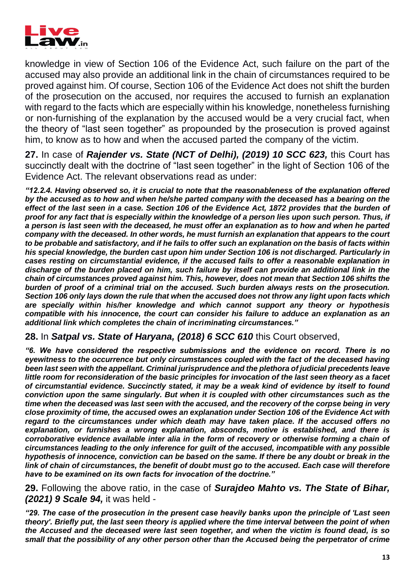

knowledge in view of Section 106 of the Evidence Act, such failure on the part of the accused may also provide an additional link in the chain of circumstances required to be proved against him. Of course, Section 106 of the Evidence Act does not shift the burden of the prosecution on the accused, nor requires the accused to furnish an explanation with regard to the facts which are especially within his knowledge, nonetheless furnishing or non-furnishing of the explanation by the accused would be a very crucial fact, when the theory of "last seen together" as propounded by the prosecution is proved against him, to know as to how and when the accused parted the company of the victim.

**27.** In case of *Rajender vs. State (NCT of Delhi), (2019) 10 SCC 623,* this Court has succinctly dealt with the doctrine of "last seen together" in the light of Section 106 of the Evidence Act. The relevant observations read as under:

*"12.2.4. Having observed so, it is crucial to note that the reasonableness of the explanation offered by the accused as to how and when he/she parted company with the deceased has a bearing on the effect of the last seen in a case. Section 106 of the Evidence Act, 1872 provides that the burden of proof for any fact that is especially within the knowledge of a person lies upon such person. Thus, if a person is last seen with the deceased, he must offer an explanation as to how and when he parted company with the deceased. In other words, he must furnish an explanation that appears to the court to be probable and satisfactory, and if he fails to offer such an explanation on the basis of facts within his special knowledge, the burden cast upon him under Section 106 is not discharged. Particularly in cases resting on circumstantial evidence, if the accused fails to offer a reasonable explanation in discharge of the burden placed on him, such failure by itself can provide an additional link in the chain of circumstances proved against him. This, however, does not mean that Section 106 shifts the burden of proof of a criminal trial on the accused. Such burden always rests on the prosecution. Section 106 only lays down the rule that when the accused does not throw any light upon facts which are specially within his/her knowledge and which cannot support any theory or hypothesis compatible with his innocence, the court can consider his failure to adduce an explanation as an additional link which completes the chain of incriminating circumstances."*

#### **28.** In *Satpal vs. State of Haryana, (2018) 6 SCC 610* this Court observed,

*"6. We have considered the respective submissions and the evidence on record. There is no eyewitness to the occurrence but only circumstances coupled with the fact of the deceased having been last seen with the appellant. Criminal jurisprudence and the plethora of judicial precedents leave little room for reconsideration of the basic principles for invocation of the last seen theory as a facet of circumstantial evidence. Succinctly stated, it may be a weak kind of evidence by itself to found conviction upon the same singularly. But when it is coupled with other circumstances such as the time when the deceased was last seen with the accused, and the recovery of the corpse being in very close proximity of time, the accused owes an explanation under Section 106 of the Evidence Act with regard to the circumstances under which death may have taken place. If the accused offers no explanation, or furnishes a wrong explanation, absconds, motive is established, and there is corroborative evidence available inter alia in the form of recovery or otherwise forming a chain of circumstances leading to the only inference for guilt of the accused, incompatible with any possible hypothesis of innocence, conviction can be based on the same. If there be any doubt or break in the link of chain of circumstances, the benefit of doubt must go to the accused. Each case will therefore have to be examined on its own facts for invocation of the doctrine."* 

#### **29.** Following the above ratio, in the case of *Surajdeo Mahto vs. The State of Bihar, (2021) 9 Scale 94,* it was held -

*"29. The case of the prosecution in the present case heavily banks upon the principle of 'Last seen theory'. Briefly put, the last seen theory is applied where the time interval between the point of when the Accused and the deceased were last seen together, and when the victim is found dead, is so small that the possibility of any other person other than the Accused being the perpetrator of crime*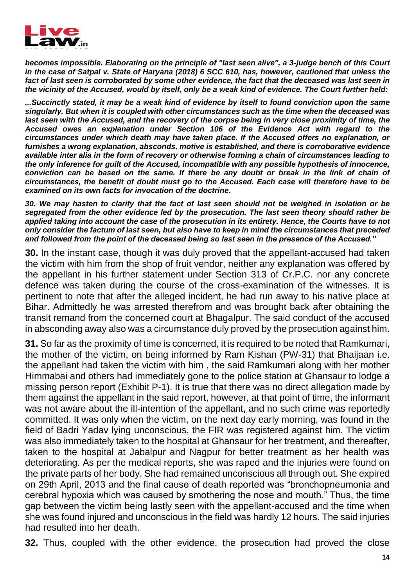

*becomes impossible. Elaborating on the principle of "last seen alive", a 3-judge bench of this Court in the case of Satpal v. State of Haryana (2018) 6 SCC 610, has, however, cautioned that unless the fact of last seen is corroborated by some other evidence, the fact that the deceased was last seen in the vicinity of the Accused, would by itself, only be a weak kind of evidence. The Court further held:* 

*...Succinctly stated, it may be a weak kind of evidence by itself to found conviction upon the same singularly. But when it is coupled with other circumstances such as the time when the deceased was*  last seen with the Accused, and the recovery of the corpse being in very close proximity of time, the *Accused owes an explanation under Section 106 of the Evidence Act with regard to the circumstances under which death may have taken place. If the Accused offers no explanation, or furnishes a wrong explanation, absconds, motive is established, and there is corroborative evidence available inter alia in the form of recovery or otherwise forming a chain of circumstances leading to the only inference for guilt of the Accused, incompatible with any possible hypothesis of innocence, conviction can be based on the same. If there be any doubt or break in the link of chain of circumstances, the benefit of doubt must go to the Accused. Each case will therefore have to be examined on its own facts for invocation of the doctrine.* 

*30. We may hasten to clarify that the fact of last seen should not be weighed in isolation or be segregated from the other evidence led by the prosecution. The last seen theory should rather be applied taking into account the case of the prosecution in its entirety. Hence, the Courts have to not only consider the factum of last seen, but also have to keep in mind the circumstances that preceded and followed from the point of the deceased being so last seen in the presence of the Accused."* 

**30.** In the instant case, though it was duly proved that the appellant-accused had taken the victim with him from the shop of fruit vendor, neither any explanation was offered by the appellant in his further statement under Section 313 of Cr.P.C. nor any concrete defence was taken during the course of the cross-examination of the witnesses. It is pertinent to note that after the alleged incident, he had run away to his native place at Bihar. Admittedly he was arrested therefrom and was brought back after obtaining the transit remand from the concerned court at Bhagalpur. The said conduct of the accused in absconding away also was a circumstance duly proved by the prosecution against him.

**31.** So far as the proximity of time is concerned, it is required to be noted that Ramkumari, the mother of the victim, on being informed by Ram Kishan (PW-31) that Bhaijaan i.e. the appellant had taken the victim with him , the said Ramkumari along with her mother Himmabai and others had immediately gone to the police station at Ghansaur to lodge a missing person report (Exhibit P-1). It is true that there was no direct allegation made by them against the appellant in the said report, however, at that point of time, the informant was not aware about the ill-intention of the appellant, and no such crime was reportedly committed. It was only when the victim, on the next day early morning, was found in the field of Badri Yadav lying unconscious, the FIR was registered against him. The victim was also immediately taken to the hospital at Ghansaur for her treatment, and thereafter, taken to the hospital at Jabalpur and Nagpur for better treatment as her health was deteriorating. As per the medical reports, she was raped and the injuries were found on the private parts of her body. She had remained unconscious all through out. She expired on 29th April, 2013 and the final cause of death reported was "bronchopneumonia and cerebral hypoxia which was caused by smothering the nose and mouth." Thus, the time gap between the victim being lastly seen with the appellant-accused and the time when she was found injured and unconscious in the field was hardly 12 hours. The said injuries had resulted into her death.

**32.** Thus, coupled with the other evidence, the prosecution had proved the close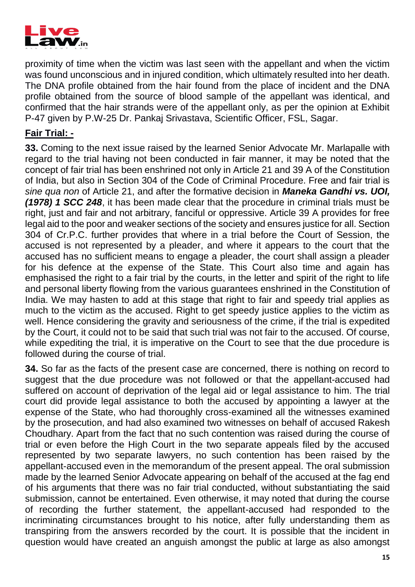

proximity of time when the victim was last seen with the appellant and when the victim was found unconscious and in injured condition, which ultimately resulted into her death. The DNA profile obtained from the hair found from the place of incident and the DNA profile obtained from the source of blood sample of the appellant was identical, and confirmed that the hair strands were of the appellant only, as per the opinion at Exhibit P-47 given by P.W-25 Dr. Pankaj Srivastava, Scientific Officer, FSL, Sagar.

#### **Fair Trial: -**

**33.** Coming to the next issue raised by the learned Senior Advocate Mr. Marlapalle with regard to the trial having not been conducted in fair manner, it may be noted that the concept of fair trial has been enshrined not only in Article 21 and 39 A of the Constitution of India, but also in Section 304 of the Code of Criminal Procedure. Free and fair trial is *sine qua non* of Article 21, and after the formative decision in *Maneka Gandhi vs. UOI, (1978) 1 SCC 248*, it has been made clear that the procedure in criminal trials must be right, just and fair and not arbitrary, fanciful or oppressive. Article 39 A provides for free legal aid to the poor and weaker sections of the society and ensures justice for all. Section 304 of Cr.P.C. further provides that where in a trial before the Court of Session, the accused is not represented by a pleader, and where it appears to the court that the accused has no sufficient means to engage a pleader, the court shall assign a pleader for his defence at the expense of the State. This Court also time and again has emphasised the right to a fair trial by the courts, in the letter and spirit of the right to life and personal liberty flowing from the various guarantees enshrined in the Constitution of India. We may hasten to add at this stage that right to fair and speedy trial applies as much to the victim as the accused. Right to get speedy justice applies to the victim as well. Hence considering the gravity and seriousness of the crime, if the trial is expedited by the Court, it could not to be said that such trial was not fair to the accused. Of course, while expediting the trial, it is imperative on the Court to see that the due procedure is followed during the course of trial.

**34.** So far as the facts of the present case are concerned, there is nothing on record to suggest that the due procedure was not followed or that the appellant-accused had suffered on account of deprivation of the legal aid or legal assistance to him. The trial court did provide legal assistance to both the accused by appointing a lawyer at the expense of the State, who had thoroughly cross-examined all the witnesses examined by the prosecution, and had also examined two witnesses on behalf of accused Rakesh Choudhary. Apart from the fact that no such contention was raised during the course of trial or even before the High Court in the two separate appeals filed by the accused represented by two separate lawyers, no such contention has been raised by the appellant-accused even in the memorandum of the present appeal. The oral submission made by the learned Senior Advocate appearing on behalf of the accused at the fag end of his arguments that there was no fair trial conducted, without substantiating the said submission, cannot be entertained. Even otherwise, it may noted that during the course of recording the further statement, the appellant-accused had responded to the incriminating circumstances brought to his notice, after fully understanding them as transpiring from the answers recorded by the court. It is possible that the incident in question would have created an anguish amongst the public at large as also amongst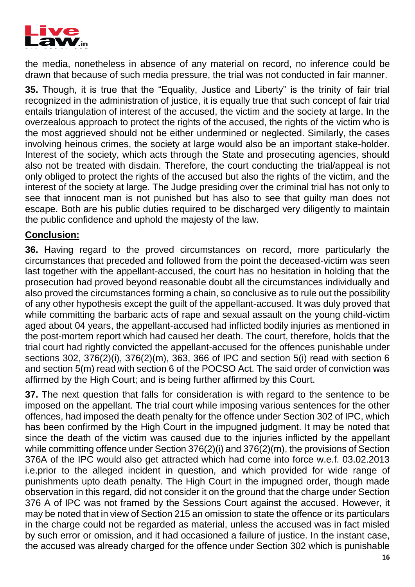

the media, nonetheless in absence of any material on record, no inference could be drawn that because of such media pressure, the trial was not conducted in fair manner.

**35.** Though, it is true that the "Equality, Justice and Liberty" is the trinity of fair trial recognized in the administration of justice, it is equally true that such concept of fair trial entails triangulation of interest of the accused, the victim and the society at large. In the overzealous approach to protect the rights of the accused, the rights of the victim who is the most aggrieved should not be either undermined or neglected. Similarly, the cases involving heinous crimes, the society at large would also be an important stake-holder. Interest of the society, which acts through the State and prosecuting agencies, should also not be treated with disdain. Therefore, the court conducting the trial/appeal is not only obliged to protect the rights of the accused but also the rights of the victim, and the interest of the society at large. The Judge presiding over the criminal trial has not only to see that innocent man is not punished but has also to see that guilty man does not escape. Both are his public duties required to be discharged very diligently to maintain the public confidence and uphold the majesty of the law.

#### **Conclusion:**

**36.** Having regard to the proved circumstances on record, more particularly the circumstances that preceded and followed from the point the deceased-victim was seen last together with the appellant-accused, the court has no hesitation in holding that the prosecution had proved beyond reasonable doubt all the circumstances individually and also proved the circumstances forming a chain, so conclusive as to rule out the possibility of any other hypothesis except the guilt of the appellant-accused. It was duly proved that while committing the barbaric acts of rape and sexual assault on the young child-victim aged about 04 years, the appellant-accused had inflicted bodily injuries as mentioned in the post-mortem report which had caused her death. The court, therefore, holds that the trial court had rightly convicted the appellant-accused for the offences punishable under sections 302, 376(2)(i), 376(2)(m), 363, 366 of IPC and section 5(i) read with section 6 and section 5(m) read with section 6 of the POCSO Act. The said order of conviction was affirmed by the High Court; and is being further affirmed by this Court.

**37.** The next question that falls for consideration is with regard to the sentence to be imposed on the appellant. The trial court while imposing various sentences for the other offences, had imposed the death penalty for the offence under Section 302 of IPC, which has been confirmed by the High Court in the impugned judgment. It may be noted that since the death of the victim was caused due to the injuries inflicted by the appellant while committing offence under Section 376(2)(i) and 376(2)(m), the provisions of Section 376A of the IPC would also get attracted which had come into force w.e.f. 03.02.2013 i.e.prior to the alleged incident in question, and which provided for wide range of punishments upto death penalty. The High Court in the impugned order, though made observation in this regard, did not consider it on the ground that the charge under Section 376 A of IPC was not framed by the Sessions Court against the accused. However, it may be noted that in view of Section 215 an omission to state the offence or its particulars in the charge could not be regarded as material, unless the accused was in fact misled by such error or omission, and it had occasioned a failure of justice. In the instant case, the accused was already charged for the offence under Section 302 which is punishable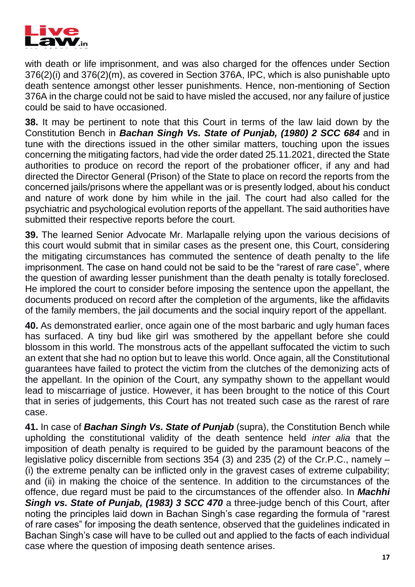

with death or life imprisonment, and was also charged for the offences under Section 376(2)(i) and 376(2)(m), as covered in Section 376A, IPC, which is also punishable upto death sentence amongst other lesser punishments. Hence, non-mentioning of Section 376A in the charge could not be said to have misled the accused, nor any failure of justice could be said to have occasioned.

**38.** It may be pertinent to note that this Court in terms of the law laid down by the Constitution Bench in *Bachan Singh Vs. State of Punjab, (1980) 2 SCC 684* and in tune with the directions issued in the other similar matters, touching upon the issues concerning the mitigating factors, had vide the order dated 25.11.2021, directed the State authorities to produce on record the report of the probationer officer, if any and had directed the Director General (Prison) of the State to place on record the reports from the concerned jails/prisons where the appellant was or is presently lodged, about his conduct and nature of work done by him while in the jail. The court had also called for the psychiatric and psychological evolution reports of the appellant. The said authorities have submitted their respective reports before the court.

**39.** The learned Senior Advocate Mr. Marlapalle relying upon the various decisions of this court would submit that in similar cases as the present one, this Court, considering the mitigating circumstances has commuted the sentence of death penalty to the life imprisonment. The case on hand could not be said to be the "rarest of rare case", where the question of awarding lesser punishment than the death penalty is totally foreclosed. He implored the court to consider before imposing the sentence upon the appellant, the documents produced on record after the completion of the arguments, like the affidavits of the family members, the jail documents and the social inquiry report of the appellant.

**40.** As demonstrated earlier, once again one of the most barbaric and ugly human faces has surfaced. A tiny bud like girl was smothered by the appellant before she could blossom in this world. The monstrous acts of the appellant suffocated the victim to such an extent that she had no option but to leave this world. Once again, all the Constitutional guarantees have failed to protect the victim from the clutches of the demonizing acts of the appellant. In the opinion of the Court, any sympathy shown to the appellant would lead to miscarriage of justice. However, it has been brought to the notice of this Court that in series of judgements, this Court has not treated such case as the rarest of rare case.

**41.** In case of *Bachan Singh Vs. State of Punjab* (supra), the Constitution Bench while upholding the constitutional validity of the death sentence held *inter alia* that the imposition of death penalty is required to be guided by the paramount beacons of the legislative policy discernible from sections 354 (3) and 235 (2) of the Cr.P.C., namely – (i) the extreme penalty can be inflicted only in the gravest cases of extreme culpability; and (ii) in making the choice of the sentence. In addition to the circumstances of the offence, due regard must be paid to the circumstances of the offender also. In *Machhi Singh vs. State of Punjab, (1983) 3 SCC 470* a three-judge bench of this Court, after noting the principles laid down in Bachan Singh's case regarding the formula of "rarest of rare cases" for imposing the death sentence, observed that the guidelines indicated in Bachan Singh's case will have to be culled out and applied to the facts of each individual case where the question of imposing death sentence arises.